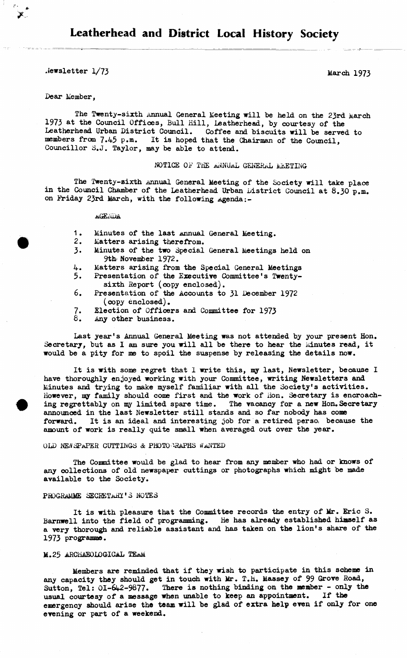*Me***wsletter 1/73** March 1973

## **Dear Member,**

X.

The Twenty-sixth Annual General Meeting will be held on the 23rd March **1973 at the Council Offioes, Bull Hill, Leatherhead, by courtesy of the Leatherhead Urban District Council. Coffee and biscuits will be served to** members from 7.45 p.m. It is hoped that the Chairman of the Council, **Councillor S.J. Taylor, may be able to attend.**

# **NOTICE OF THE ANNUAL GENERAL MEETING**

**The Twenty-sixth annual General Meeting of the Society will take place in the Council Chamber of the Leatherhead Urban District Council at 8.30 p.m. on Friday 23rd March, with the following agenda:-**

**itG£j.<DA**

- 1. Minutes of the last *Annual General Meeting*.
- **2. Matters arising therefrom.**
- **3. Minutes of the two Special General Meetings held on 9th November 1972.**
- **4. Matters arising from the Special General Meetings**
- **5. Presentation of the Executive Committee's Twentysixth Report (copy enclosed).**
- **6. Presentation of the Accounts to 31 December 1972 (copy enclosed).**
- **7. Election of Officers and Committee for 1973**
- **8. Any other business.**

**Last year's Annual General Meeting was not attended by your present Hon.** Secretary, but as I am sure you will all be there to hear the Minutes read, it **would be a pity for me to spoil the suspense by releasing the details now.**

**It is with some regret that I write this, my last, Newsletter, because I have thoroughly enjoyed working with your Committee, writing Newsletters and Minutes and trying to make myself familiar with all the Society's activities. However, my family should come first and the work of iion. Secretary is encroach**ing regrettably on my limited spare time. The vacancy for a new Hon.Secretary **announced in the last Newsletter still stands and so far nobody has come forward. It is an ideal and interesting job for a retired** persoi **because the amount of work is really quite small when averaged out over the year.**

#### OLD NEW SPAPER CUTTINGS & PHOTO GRAPHS WANTED

**The Committee would be glad to hear from any member who had or knows of any collections of old newspaper cuttings or photographs which might be made available to the Society.**

#### PROGRAMME SECRETARY'S NOTES

**It is with pleasure that the Committee records the entry of Mr. Eric S. Barnwell into the field of programming. He has already established himself as a very thorough and reliable assistant and has taken on the lion's share of the 1973 programme.**

#### **M.25 ARCHAEOLOGICAL TEaM**

**Members are reminded that if they wish to participate in this scheme in any capacity they should get in touch with Mr. T.H. Massey of 99 Grove Road,** Sutton, Tel: 01-642-9877. There is nothing binding on the member - only the **usual courtesy of a message when unable to keep an appointment. If the emergency should arise the team will he glad of extra help even if only for one evening or part of a weekend.**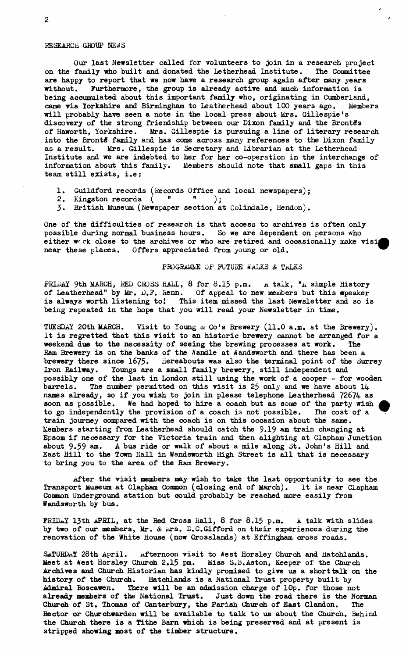## **RESEARCH GROUP NEWS**

**Our last Newsletter called for volunteers to join in a research project on the family who built and donated the Letherhead Institute. The Committee are happy to report that we now have a research group again after many** *years* **without. Furthermore, the group is already active and much information is being accumulated about this important family who, originating in Cumberland, came via Yorkshire and Birmingham to Leather-head about 100 years ago. Members will probably have seen a note in the local press about Mrs. Gillespie's discovery of the strong friendship between our Dixon family and the Brontis of Haworth, Yorkshire. Mrs. Gillespie is pursuing a line of literary research into the Brontfi family and has come across many references to the Dixon family as a result. Mrs. Gillespie is Secretary and Librarian at the Letherhead Institute and we are indebted to her for her co-operation in the interchange of information about this family. Members should note that small gaps in this team still exists, i.e:**

*t*

- **1. Guildford records (Records Office and local newspapers);**
- **2. Kingston records ( " " );**
- **3. British Museum (Newspaper section at Colindale, Hendon).**

**One of the difficulties of research is that access to archives is often only possible during normal business hours. So we are dependent on persons who either w rk close to the archives or who are retired and occasionally make visi near these places. Offers appreciated from young or old. ^**

### **pROGRAMME OF FUTURE WALKS & TALKS**

**FRIDAY 9th MARCH, RED CBJSS HALL, 8 for 8.15 p.m. A talk, "a simple History of Leatherhead" by Mr. D.F. Renn. Of appeal to new members but this apeaker is always worth listening to! This item missed the last Newsletter and so is being repeated in the hope that you will read your Newsletter in time.**

**TUESDAY 20th MARCH. Visit to Young & Co's Brewery (11.0 a.m. at the Brewery). It is regretted that this visit to an historic brewery cannot be arranged for a weekend due to the necessity of seeing the brewing processes at work. The** Ram Brewery is on the banks of the Wandle at Wandsworth and there has been a **brewery there since 1675. Hereabouts was also the terminal point of the Surrey Iron Railway. Youngs are a small family brewery, still independent and possibly one of the last in London still using the work of a cooper - for wooden barrels. The number permitted on this visit is 25 only and we have about 14 names already, so if you wish to join in please telephone Leatherhead 72674 as soon as possible. We had hoped to hire a coach but as some of the party wish** *M* **to go independently the provision of a coach is not possible. The cost of a train journey compared with the coach is on this occasion about the same. Members starting from Leatherhead should catch the 9.19 am train changing at Epsom if necessary for the Victoria train and then alighting at Clapham Junction about 9.59 am. A bus ride or walk of about a mile along St. John's Hill and East Hill to the Town Kail in Wandsworth High Street is all that is necessary to bring you to the area of the Ram Brewery.**

**After the visit members may wish to take the last opportunity to see the Transport Museum at Clapham Common (closing end of March). It is near Clapham Common Underground station but could probably be reached more easily from Wandsworth by bus.**

**FRIDAY 13th APRIL, at the Red Gross Hall, 8 for 8.15 p.m. A talk with slides by two of our members, Mr.** *& krs.* **D.C.Gifford on their experiences during the renovation of the White House (now Crosslands) at Effingham cross roads.**

SaTURDAY 28th April. Afternoon visit to West Horsley Church and Hatchlands. **Meet at West Horsley Church 2.15 pm. Miss S.B.Aston, Keeper of the Church Archives and Church Historian has kindly promised to give us a short talk on the history of the Church. Hatchlands is a National Trust property built by Admiral Boscawen. There will be an admission charge of lOp. for those not already members of the National Trust. Just down the road there is the Norman Church of St. Thomas of Canterbury, the Parish Church of East Clandon. The Rector or Churchwarden will be available to talk to us about the Church. Behind the Church there is a Tithe Barn which is being preserved and at present is stripped showing most of the timber structure.**

2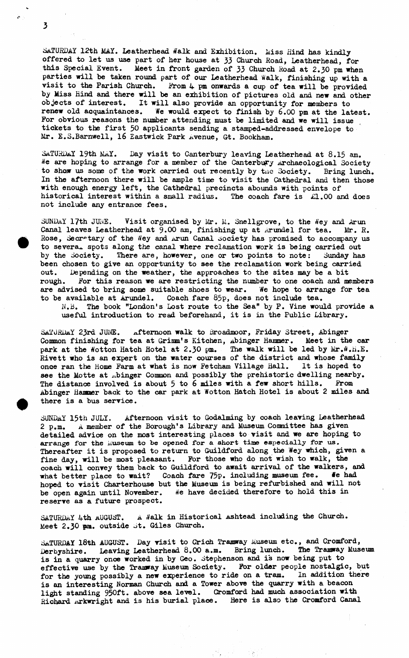*SATURDAY* **12th MAY. Leatherhead tfalk and Exhibition, Miss Hind has kindly offered to let us use part of her house at 33 Church Road, Leatherhead, for this Special Event. Meet in front garden of 33 Church Road at 2.30 pm when parties will be taken round part of our Leatherhead Walk, finishing up with a visit to the Parish Church. From 4 pm onwards a cup of tea will be provided by Miss hind and there will be an exhibition of pictures old and new and other objects of interest. It will also provide an opportunity for members to renew old acquaintances.** *We* **would expect to finish by 6.00 pm at the latest.** For obvious reasons the number attending must be limited and we will issue **tickets to the first 50 applicants sending a stamped-addressed envelope to Mr. E.S.Barnwell, 16 Eastwick Park Avenue, Gt. Bookham.**

**SaTURDaY 19th MAY. Day visit to Canterbury leaving Leatherhead at 8.15 am.** *He* **are hoping to arrange for a member of the Canterbury lirchaeological Society to show us some of the work carried out recently by tne Society. Bring lunch. In the afternoon there will be ample time to visit the Cathedral and then those with enough energy left, the Cathedral precincts abounds with points of historical interest within a small radius. The coach fare is £1.00 and does not include any entrance fees.**

SUNDAY 17th JUNE. Visit organised by Mr. M. Snellgrove, to the Wey and Arun Canal leaves Leatherhead at 9.00 am, finishing up at Arundel for tea. Mr. R. Rose, Secretary of the Wey and Arun Canal society has promised to accompany us to severa<sub>r</sub> spots along the canal where reclamation work is being carried out **by the Society. There are, however, one or two points to note: Sunday has been chosen to give an opportunity to see the reclamation work being carried** out. Depending on the weather, the approaches to the sites may be a bit rough. For this reason we are restricting the number to one coach and me For this reason we are restricting the number to one coach and members **are advised to bring some suitable shoes to wear. We hope to arrange for tea to be available at Arundel. Coach fare 85p, does not include tea. N.B. The book "London's Lost route to the Sea" by P. Vine would provide a**

**useful introduction to read beforehand, it is in the Public Library.**

**Sa TURDa Y 23rd JUNE. afternoon walk to Broadmoor, Friday Street, Abinger Common finishing for tea at Grinm's Kitchen, Abinger Hammer. Meet in the car** park at the Wotton Hatch Hotel at 2.30 pm. The walk will be led by Mr.W.H.E. Rivett who is an expert on the water courses of the district and whose family once ran the Home Farm at what is now Fetcham Village Hall. It is hoped to **once ran the Home Farm at what is now Fetcham Village Hall.** see the Motte at .binger Common and possibly the prehistoric dwelling nearby. **The distance involved is about 5 to 6 miles with a few short hills. From Abinger Hammer back to the car park at Wotton Hatch Hotel is about 2 miles and there is a bus service.**

**SUNDAY 15th JULY. Afternoon visit to Godalming by coach leaving Leatherhead 2 p.m. A member of the Borough's Library and Museum Conmittee has given detailed advice on the most interesting places to visit and we are hoping to arrange for the iiuseum to be opened** *for* **a short time especially for us. Thereafter it is proposed to return to Guildford along the Wey which, given a fine day, will be most pleasant. For those who do not wish to walk, the coach will convey them back to Guildford to await arrival of the walkers, and what better place to wait? Coach fare 75p. including museum fee.** *Me* **had** hoped to visit Charterhouse but the Museum is being refurbished and will not be open again until November. We have decided therefore to hold this in We have decided therefore to hold this in **reserve as a future prospect.**

SATURDAY 4th AUGUST. A Walk in Historical Ashtead including the Church. **Meet 2.30 pm. outside St. Giles Church.**

**SATURDAY 18th AUGUST. Day visit to Crich Tramway Museum etc., and Cromford, Derbyshire. Leaving Leatherhead 8.00 a.m. Bring lunch. The Tramway Museum is in a quarry once worked in by Geo. Stephenson and is now be ing put to** effective use by the Tramway Museum Society. For older people nostalgic, but **for the young possibly a new experience to ride on a tram. In addition there is an interesting Norman Church and a Tower above the quarry with a beacon light standing 950ft. above sea level. Cromford had much association with** Richard Arkwright and is his burial place. Here is also the Cromford Canal

3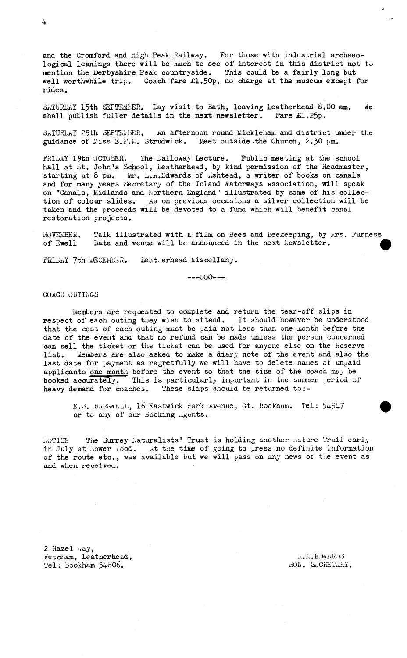**and. the Gromford and High Peak Railway. For those with industrial archaeological leanings there will be much to see of interest in this district not to mention the Derbyshire Peak countryside. This could be a fairly long but well worthwhile trip. Coach fare £1.50p, no charge at the museum except for rides.**

**SATURDAY 15th SEPTEMBER. Day visit to Bath, leaving Leatherhead 8.00 am.** *He* **shall publish fuller details in the next newsletter. Fare £1.25p.**

**dn.TUHD.aY 29th SEPTEMBER. An afternoon round ilickleham and district under the guidance of i/.iss E .F .ii. Strudwick. Meet outside the Church, 2.30 pm.**

FRIDAY 19th OCTOBER. The Dalloway Lecture. Public meeting at the school **hall at St. John's School, Leatherhead, by kind permission of the Headmaster, starting at 8 pm. ter. L.a .Edwards of ^shtead, a writer of books on canals and for many years Secretary of the Inland Waterways Association, will speak** on "Canals, Midlands and Northern England" illustrated by some of his collec**tion of colour slides. As on previous occasions a silver collection will be taken and the proceeds will be devoted to a fund which will benefit canal restoration projects.**

**NOVEMBER. Talk illustrated with a film on Bees and Beekeeping, by krs. Furness of Ewell Date and venue will be announced in the next Newsletter. ^**

FRIDAY 7th DECEMBER. Leatherhead Miscellany.

 $---000---$ 

COACH OUTINGS

**Members are requested to complete and return the tear-off slips in respect of each outing they wish to attend. It should however be understood that the cost of each outing must be paid not less than one month before the date of the event and that no refund can be made unless the person concerned can sell the ticket or the ticket can be used for anyone else on the Reserve** list. Members are also asked to make a diary note of the event and also the **last date for payment as regretfully we will have to delete names of unpaid applicants one month before the event so that the size of the coach maj be** booked accurately. This is particularly important in the summer period of **heavy demand for coaches. These slips should be returned to:-**

E.S. BARWWELL, 16 Eastwick Park Avenue, Gt. Bookham. Tel: 54947 **or to any of our Booking agents.**

**NOTICE The Surrey Naturalists' Trust is holding another mature Trail early** in July at hower .ood. At the time of going to press no definite information **of the route etc., was available but we will pass on any news of the event as and when received.**

**2 Hazel s.ay, Fetcham, Leatherhead, Tel: Bookham 54o06.**

**.r. . It. ElM iiiwd** HON. SLCRETARY.

4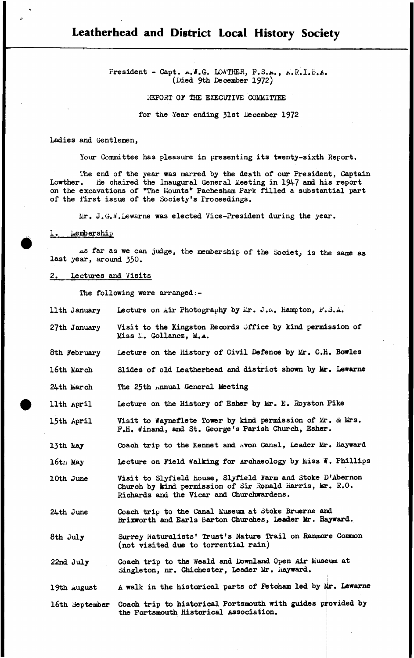# **Leatherhead and District Local History Society**

**President - Capt.** *a .H.Q.* **LOA'THER, P.S.a., a.R.I.B.a. (Died 9th December 1972)**

**IffiPORT OF THE EXECUTIVE COMMITTEE**

**for the Year ending 31st December 1972**

**Ladies and Gentlemen,**

**Your Committee has pleasure in presenting its twenty-sixth Report.**

**The end of the year was marred by the death of our President, Captain** Lowther. He chaired the Inaugural General Meeting in 1947 and his report on the excavations of "The Mounts" Pachesham Park filled a substantial part **of the first issue of the Society's Proceedings.**

 $\text{Air. J.G.}\%$ . Lewarne was elected Vice-President during the year.

# 1. *<u>hembership</u>*

As far as we can judge, the membership of the Society is the same as **last year, around 350.**

## **2. Lectures and Visits**

**The following were arranged:-**

| llth January   | Lecture on Air Photography by Mr. J.W. Hampton, F.S.A.                                                                                                              |
|----------------|---------------------------------------------------------------------------------------------------------------------------------------------------------------------|
| 27th January   | Visit to the Kingston Records Office by kind permission of<br>Miss M. Gollancz, M.A.                                                                                |
| 8th February   | Lecture on the History of Civil Defence by Mr. C.H. Bowles                                                                                                          |
| 16th March     | Slides of old Leatherhead and district shown by Mr. Lewarne                                                                                                         |
| 24th March     | The 25th Annual General Meeting                                                                                                                                     |
| llth April     | Lecture on the History of Esher by Mr. E. Royston Pike                                                                                                              |
| 15th April     | Visit to Wayneflete Tower by kind permission of Mr. & Mrs.<br>F.H. Winand, and St. George's Parish Church, Esher.                                                   |
| 13th May       | Coach trip to the Kennet and Avon Canal, Leader Mr. Hayward                                                                                                         |
| 16th May       | Lecture on Field Walking for Archaeology by Miss W. Phillips                                                                                                        |
| 10th June      | Visit to Slyfield House, Slyfield Farm and Stoke D'Abernon<br>Church by kind permission of Sir Ronald Harris, Mr. R.O.<br>Richards and the Vicar and Churchwardens. |
| 24th June      | Coach trip to the Canal Museum at Stoke Bruerne and<br>Brixworth and Earls Barton Churches, Leader Mr. Hayward.                                                     |
| 8th July       | Surrey Naturalists' Trust's Nature Trail on Ranmore Common<br>(not visited due to torrential rain)                                                                  |
| 22nd July      | Coach trip to the Weald and Downland Open Air Museum at<br>Singleton, nr. Chichester, Leader Mr. Hayward.                                                           |
| 19th August    | A walk in the historical parts of Fetcham led by Mr. Lewarne                                                                                                        |
| 16th September | Coach trip to historical Portsmouth with guides provided by<br>the Portsmouth Historical Association.                                                               |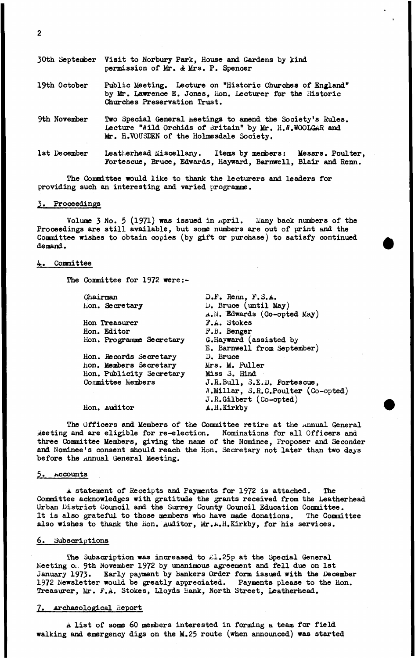|              | 30th September Visit to Norbury Park, House and Gardens by kind<br>permission of Mr. & Mrs. P. Spencer                                                             |  |  |  |  |
|--------------|--------------------------------------------------------------------------------------------------------------------------------------------------------------------|--|--|--|--|
| 19th October | Public Meeting. Lecture on "Historic Churches of England"<br>by Mr. Lawrence E. Jones, Hon. Lecturer for the Historic<br>Churches Preservation Trust.              |  |  |  |  |
| 9th November | Two Special General Meetings to amend the Society's Rules.<br>Lecture "Wild Orchids of Britain" by Mr. H.W.WOOLGAR and<br>Mr. H.VOUSDEN of the Holmesdale Society. |  |  |  |  |
| 1st December | Leatherhead Miscellany. Items by members: Messrs. Poulter,<br>Fortescue, Bruce, Edwards, Hayward, Barnwell, Blair and Renn.                                        |  |  |  |  |

**The Committee would like to thank the lecturers and leaders for providing such an interesting and varied programme.**

### **3. Proceedings**

**Volume 3 N0. 5 (1971) was issued in April. Many back numbers of the Proceedings are still available, but some numbers are out of print and the Committee wishes to obtain copies (by gift or purchase) to satisfy continued demand.**

## **4. Committee**

**The Committee for 1972 were:-**

| D.F. Renn, F.S.A.                  |  |  |  |
|------------------------------------|--|--|--|
| $\n  D. Bruce (until May)$         |  |  |  |
| A.M. Edwards (Co-opted May)        |  |  |  |
| F.A. Stokes                        |  |  |  |
| F.B. Benger                        |  |  |  |
| G.Hayward (assisted by             |  |  |  |
| E. Barnwell from September)        |  |  |  |
| D. Bruce                           |  |  |  |
| Mrs. M. Fuller                     |  |  |  |
| Miss 3. Hind                       |  |  |  |
| J.R.Bull, S.E.D. Fortescue,        |  |  |  |
| W.Millar, S.R.C.Poulter (Co-opted) |  |  |  |
| $J.R.Gilbert (Co-opted)$           |  |  |  |
| A.H.Kirkby                         |  |  |  |
|                                    |  |  |  |

**The Officers and Members of the Committee retire at the annual General Meeting and are eligible for re-election. three Commit tee Members, giving the name of the Nominee, Proposer and Seconder and Nominee's consent should reach the Hon. Secretary not later than two days before the Annual General Meeting.**

## **5. Accounts**

**A statement of Receipts and Payments for 1972 is attached. The Committee acknowledges with gratitude the grants received from the Leatherhead Urban District Council and the Surrey County Council Education Committee.** It is also grateful to those members who have made donations. **also wishes to thank the xion. Auditor, Mr.A.H.Kirkby, for his services.**

### **6. Subscriptions**

The Subscription was increased to  $\mathcal{L}1.25p$  at the Special General **Meeting o;. 9th November 1972 by unanimous agreement and fell due on 1st January 1973. Early payment by Bankers Order form issued with the December 1972 Newsletter would, be greatly appreciated. Payments please to the Hon. Treasurer, Mr. F.A. Stokes, Lloyds Bank, North Street, Leatherhead.**

## **7. Archaeological .Report**

**a list of some 60 members interested in forming a team for field walking and emergency digs on the M.25 route (when announced) was started**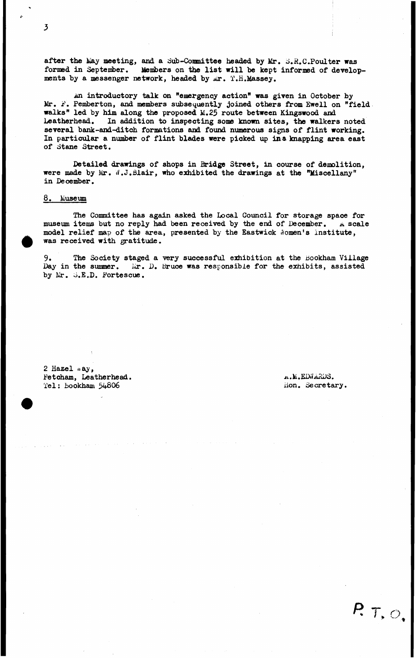after the May meeting, and a Sub-Committee headed by Mr. S.R.C.Poulter was **formed in September. Members on the list will be kept informed of develop**ments by a messenger network, headed by *Mr.* T.H.Massey.

**An introductory talk on "emergency action" was given in October by** Mr. F. Pemberton, and members subsequently joined others from Ewell on "field **walks" led by him along the proposed M.25 route between Kingswood and Leatherhead. In addition to inspecting some known sites, the walkers noted several bank-and-ditch formations and found numerous signs of flint working. In particular a number of flint blades were picked up in a knapping area east of dtane Street.**

**Detailed drawings of shops in Bridge Street, in course of demolition, were made by Mr.** *<1***.J.filair, who exhibited the drawings at the "Miscellany" in December.**

## **8. Museum**

**The Committee has again asked the Local Council for storage space for museum items but no reply had been received by the end of December. a scale** model relief map of the area, presented by the Eastwick Nomen's institute, **was received with gratitude.**

9. The Society staged a very successful exhibition at the Bookham Village **Day in the summer. iir. D. bruce was responsible for the exhibits, assisted by Mr. d.E.D. Fortescue.**

**2 Hazel .. ay, Fetcham, Leatherhead. Tel: bookham 54806**

 $A.$ M.EDWARDS. **iion. Secretary.**

 $P. 7, O,$ 

3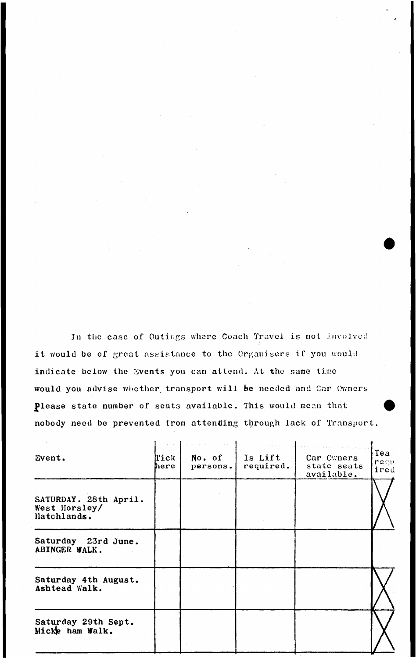**In the ease of Outings where Coach Travel is not involved it would be of great assistance to the Organisers if you would** indicate below the Events you can attend. At the same time **would you advise whether transport will be needed and Car Owners Jflease state number of seats available. This would mean that nobody need be prevented from attenfling through lack of Transport.**

| Event.                                                | Tick<br>here | No. of<br>persons. | Is Lift<br>required. | Car Cwners<br>state seats<br>available. | Tea<br>regu<br>ired |
|-------------------------------------------------------|--------------|--------------------|----------------------|-----------------------------------------|---------------------|
| SATURDAY. 28th April.<br>West Horsley/<br>Hatchlands. |              |                    |                      |                                         |                     |
| Saturday 23rd June.<br>ABINGER WALK.                  |              |                    |                      |                                         |                     |
| Saturday 4th August.<br>Ashtead Walk.                 |              |                    |                      |                                         |                     |
| Saturday 29th Sept.<br>Micke ham Walk.                |              |                    |                      |                                         |                     |